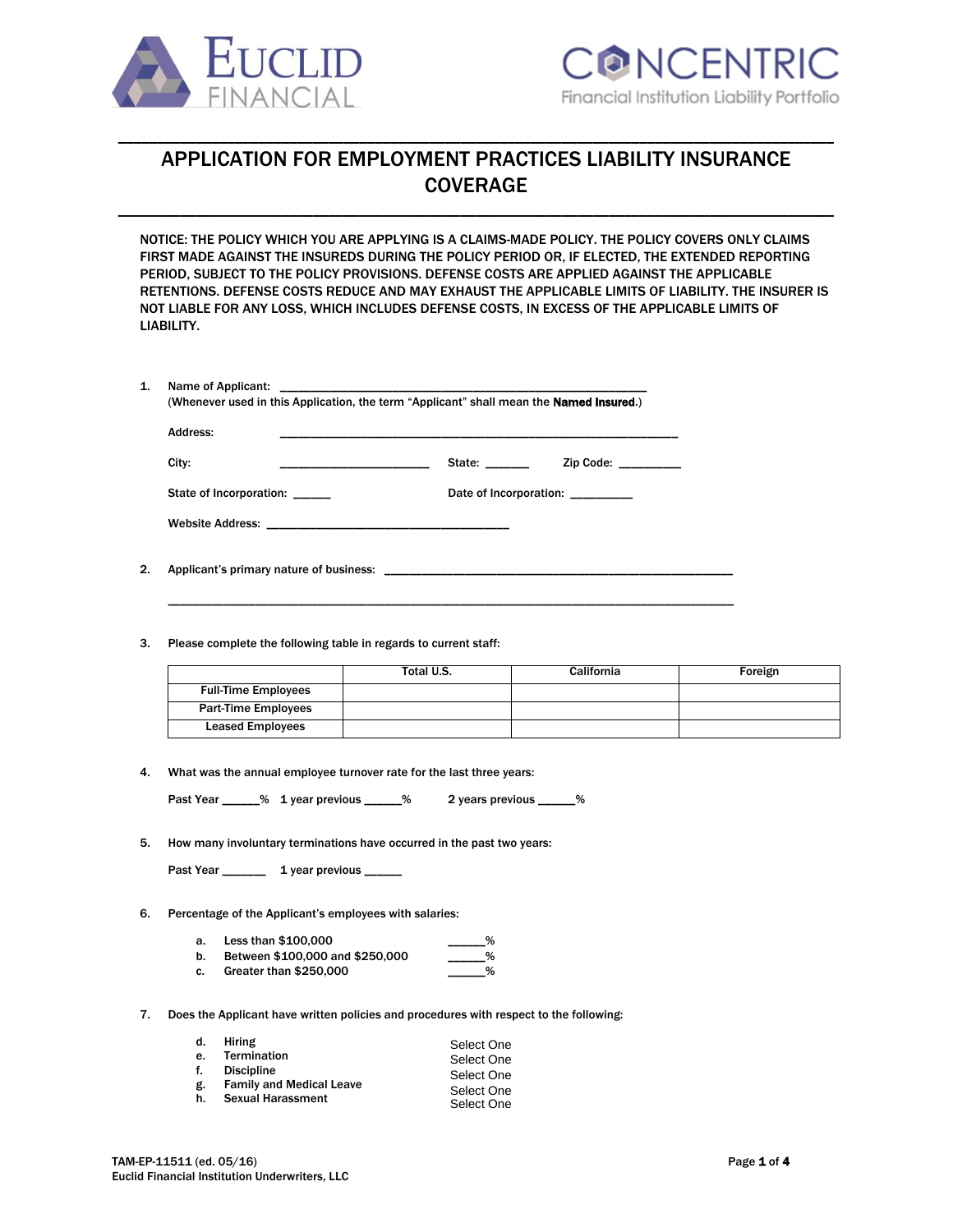



# APPLICATION FOR EMPLOYMENT PRACTICES LIABILITY INSURANCE COVERAGE

\_\_\_\_\_\_\_\_\_\_\_\_\_\_\_\_\_\_\_\_\_\_\_\_\_\_\_\_\_\_\_\_\_\_\_\_\_\_\_\_\_\_\_\_\_\_\_\_\_\_\_\_\_\_\_\_\_\_\_\_\_\_\_\_\_\_\_\_\_\_\_\_\_\_\_\_\_\_\_\_\_\_\_\_\_\_\_\_\_\_\_\_

\_\_\_\_\_\_\_\_\_\_\_\_\_\_\_\_\_\_\_\_\_\_\_\_\_\_\_\_\_\_\_\_\_\_\_\_\_\_\_\_\_\_\_\_\_\_\_\_\_\_\_\_\_\_\_\_\_\_\_\_\_\_\_\_\_\_\_\_\_\_\_\_\_\_\_\_\_\_\_\_\_\_\_\_\_\_\_\_\_\_\_\_

NOTICE: THE POLICY WHICH YOU ARE APPLYING IS A CLAIMS-MADE POLICY. THE POLICY COVERS ONLY CLAIMS FIRST MADE AGAINST THE INSUREDS DURING THE POLICY PERIOD OR, IF ELECTED, THE EXTENDED REPORTING PERIOD, SUBJECT TO THE POLICY PROVISIONS. DEFENSE COSTS ARE APPLIED AGAINST THE APPLICABLE RETENTIONS. DEFENSE COSTS REDUCE AND MAY EXHAUST THE APPLICABLE LIMITS OF LIABILITY. THE INSURER IS NOT LIABLE FOR ANY LOSS, WHICH INCLUDES DEFENSE COSTS, IN EXCESS OF THE APPLICABLE LIMITS OF LIABILITY.

| Address:                |                        |
|-------------------------|------------------------|
| City:                   | State:<br>Zip Code:    |
| State of Incorporation: | Date of Incorporation: |

\_\_\_\_\_\_\_\_\_\_\_\_\_\_\_\_\_\_\_\_\_\_\_\_\_\_\_\_\_\_\_\_\_\_\_\_\_\_\_\_\_\_\_\_\_\_\_\_\_\_\_\_\_\_\_\_\_\_\_\_\_\_\_\_\_\_\_\_\_\_\_\_\_\_\_\_\_\_\_\_\_\_\_\_\_\_\_\_\_\_\_

- 2. Applicant's primary nature of business: \_
- 3. Please complete the following table in regards to current staff:

|                            | Total U.S. | <b>California</b> | Foreign |
|----------------------------|------------|-------------------|---------|
| <b>Full-Time Employees</b> |            |                   |         |
| <b>Part-Time Employees</b> |            |                   |         |
| <b>Leased Employees</b>    |            |                   |         |

4. What was the annual employee turnover rate for the last three years:

|  | Past Year |  | % 1 year previous |  |  | 2 years previous |  |
|--|-----------|--|-------------------|--|--|------------------|--|
|--|-----------|--|-------------------|--|--|------------------|--|

5. How many involuntary terminations have occurred in the past two years:

Past Year \_\_\_\_\_\_\_\_ 1 year previous \_\_\_

- 6. Percentage of the Applicant's employees with salaries:
	- a. Less than \$100,000 b. Between \$100,000 and \$250,000 \_\_\_\_\_\_%
	- c. Greater than  $$250,000$
- 7. Does the Applicant have written policies and procedures with respect to the following:

| d. | Hiring                          | Select One |
|----|---------------------------------|------------|
| е. | <b>Termination</b>              | Select One |
| f. | <b>Discipline</b>               | Select One |
| g. | <b>Family and Medical Leave</b> | Select One |
| h. | <b>Sexual Harassment</b>        | Select One |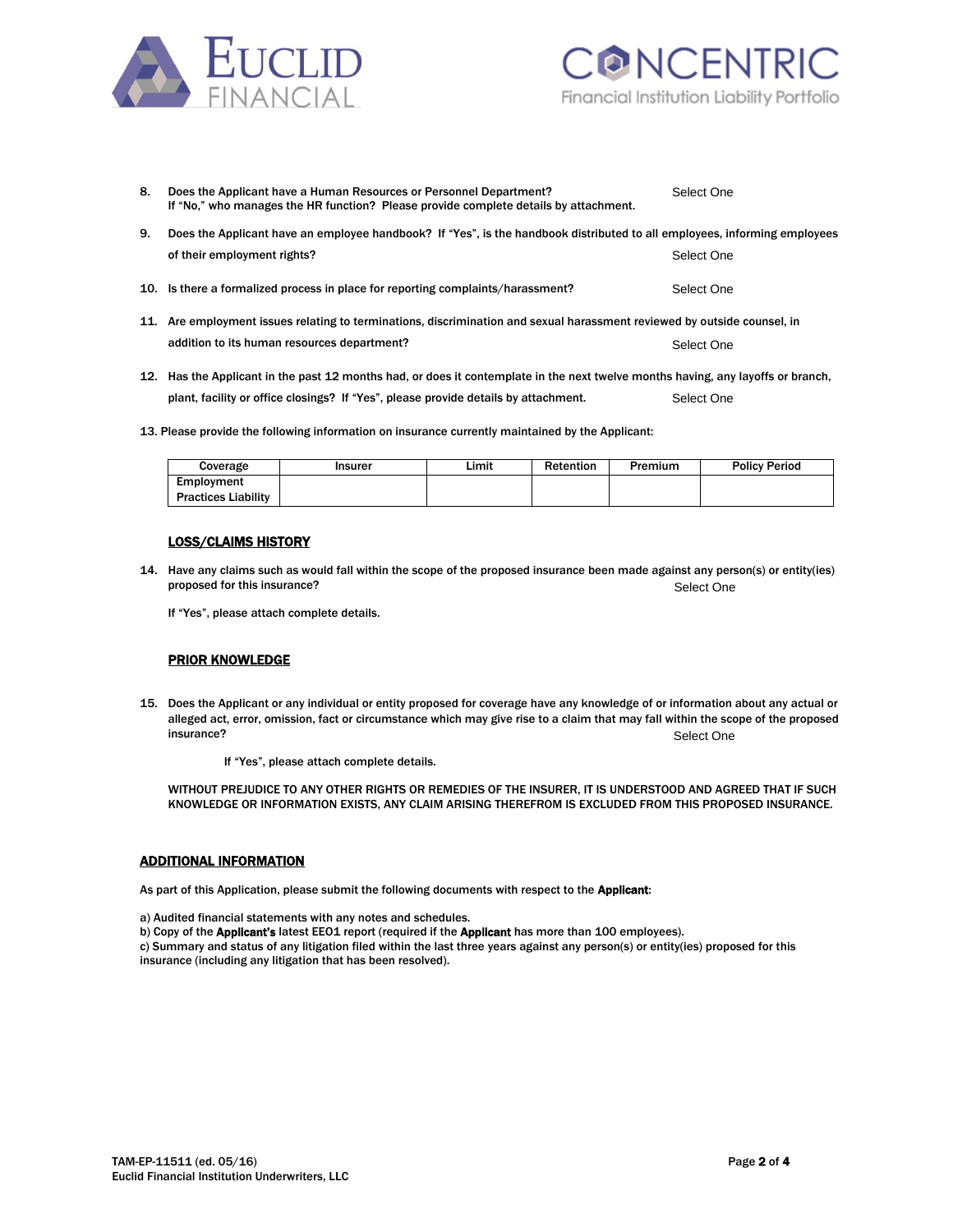



| 8.  | Does the Applicant have a Human Resources or Personnel Department?<br>If "No," who manages the HR function? Please provide complete details by attachment. | Select One |  |  |
|-----|------------------------------------------------------------------------------------------------------------------------------------------------------------|------------|--|--|
| 9.  | Does the Applicant have an employee handbook? If "Yes", is the handbook distributed to all employees, informing employees                                  |            |  |  |
|     | of their employment rights?                                                                                                                                | Select One |  |  |
|     | 10. Is there a formalized process in place for reporting complaints/harassment?                                                                            | Select One |  |  |
| 11. | Are employment issues relating to terminations, discrimination and sexual harassment reviewed by outside counsel, in                                       |            |  |  |
|     | addition to its human resources department?                                                                                                                | Select One |  |  |
|     | 12. Here the Annlicent in the nect 12 months had ar does it contemplate in the next twelve months having any lavoffs or branch                             |            |  |  |

- 12. Has the Applicant in the past 12 months had, or does it contemplate in the next twelve months having, any layoffs or branch, plant, facility or office closings? If "Yes", please provide details by attachment. Select One
- 13. Please provide the following information on insurance currently maintained by the Applicant:

| Coverage                   | Insurer | Limit | Retention | Premium | <b>Policy Period</b> |
|----------------------------|---------|-------|-----------|---------|----------------------|
| Employment                 |         |       |           |         |                      |
| <b>Practices Liability</b> |         |       |           |         |                      |

### LOSS/CLAIMS HISTORY

14. Have any claims such as would fall within the scope of the proposed insurance been made against any person(s) or entity(ies) proposed for this insurance? Select One

If "Yes", please attach complete details.

#### PRIOR KNOWLEDGE

15. Does the Applicant or any individual or entity proposed for coverage have any knowledge of or information about any actual or alleged act, error, omission, fact or circumstance which may give rise to a claim that may fall within the scope of the proposed insurance? Select One

If "Yes", please attach complete details.

WITHOUT PREJUDICE TO ANY OTHER RIGHTS OR REMEDIES OF THE INSURER, IT IS UNDERSTOOD AND AGREED THAT IF SUCH KNOWLEDGE OR INFORMATION EXISTS, ANY CLAIM ARISING THEREFROM IS EXCLUDED FROM THIS PROPOSED INSURANCE.

### ADDITIONAL INFORMATION

As part of this Application, please submit the following documents with respect to the Applicant:

- a) Audited financial statements with any notes and schedules.
- b) Copy of the Applicant's latest EEO1 report (required if the Applicant has more than 100 employees).

c) Summary and status of any litigation filed within the last three years against any person(s) or entity(ies) proposed for this insurance (including any litigation that has been resolved).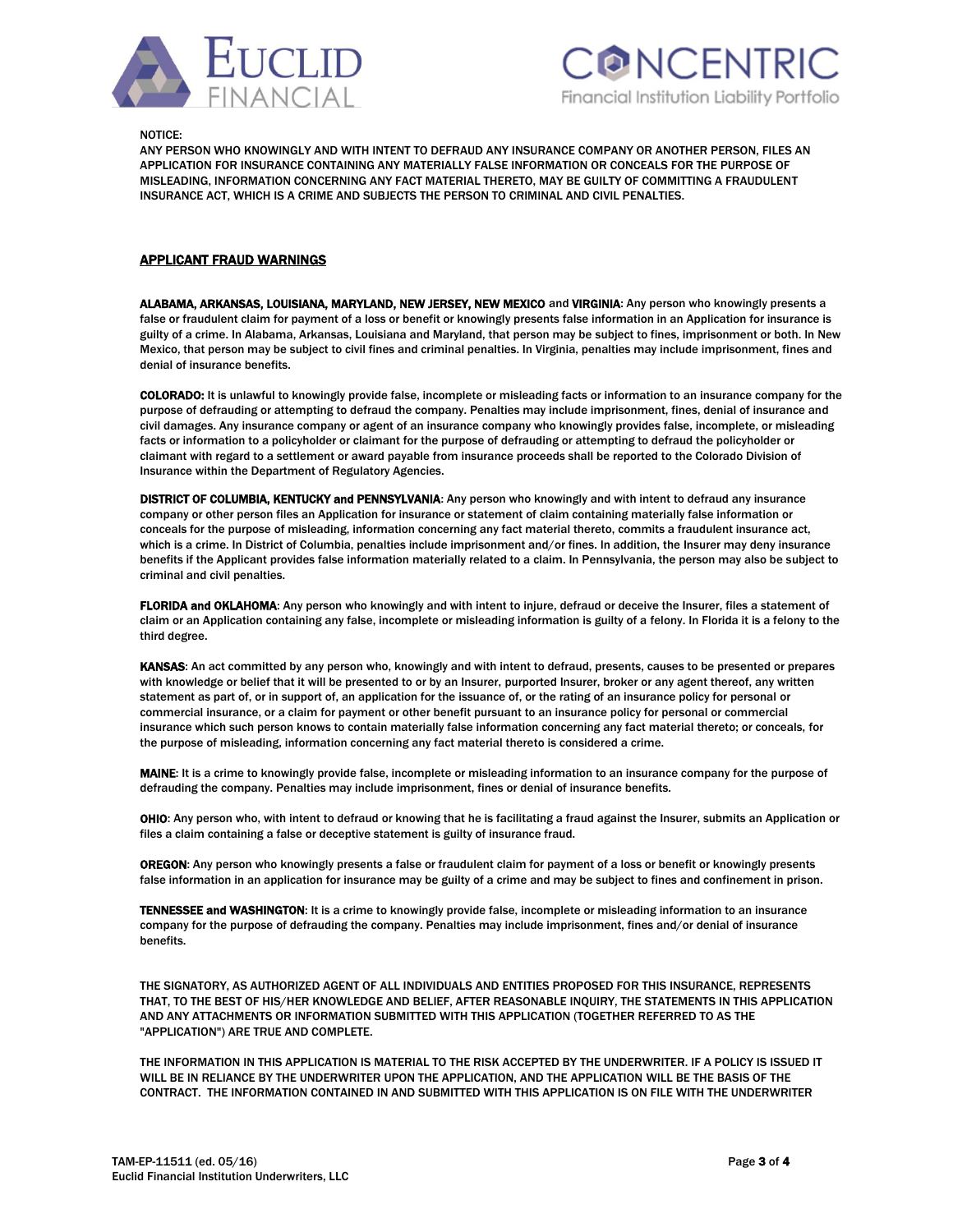



NOTICE:

ANY PERSON WHO KNOWINGLY AND WITH INTENT TO DEFRAUD ANY INSURANCE COMPANY OR ANOTHER PERSON, FILES AN APPLICATION FOR INSURANCE CONTAINING ANY MATERIALLY FALSE INFORMATION OR CONCEALS FOR THE PURPOSE OF MISLEADING, INFORMATION CONCERNING ANY FACT MATERIAL THERETO, MAY BE GUILTY OF COMMITTING A FRAUDULENT INSURANCE ACT, WHICH IS A CRIME AND SUBJECTS THE PERSON TO CRIMINAL AND CIVIL PENALTIES.

## APPLICANT FRAUD WARNINGS

ALABAMA, ARKANSAS, LOUISIANA, MARYLAND, NEW JERSEY, NEW MEXICO and VIRGINIA: Any person who knowingly presents a false or fraudulent claim for payment of a loss or benefit or knowingly presents false information in an Application for insurance is guilty of a crime. In Alabama, Arkansas, Louisiana and Maryland, that person may be subject to fines, imprisonment or both. In New Mexico, that person may be subject to civil fines and criminal penalties. In Virginia, penalties may include imprisonment, fines and denial of insurance benefits.

COLORADO: It is unlawful to knowingly provide false, incomplete or misleading facts or information to an insurance company for the purpose of defrauding or attempting to defraud the company. Penalties may include imprisonment, fines, denial of insurance and civil damages. Any insurance company or agent of an insurance company who knowingly provides false, incomplete, or misleading facts or information to a policyholder or claimant for the purpose of defrauding or attempting to defraud the policyholder or claimant with regard to a settlement or award payable from insurance proceeds shall be reported to the Colorado Division of Insurance within the Department of Regulatory Agencies.

DISTRICT OF COLUMBIA, KENTUCKY and PENNSYLVANIA: Any person who knowingly and with intent to defraud any insurance company or other person files an Application for insurance or statement of claim containing materially false information or conceals for the purpose of misleading, information concerning any fact material thereto, commits a fraudulent insurance act, which is a crime. In District of Columbia, penalties include imprisonment and/or fines. In addition, the Insurer may deny insurance benefits if the Applicant provides false information materially related to a claim. In Pennsylvania, the person may also be subject to criminal and civil penalties.

FLORIDA and OKLAHOMA: Any person who knowingly and with intent to injure, defraud or deceive the Insurer, files a statement of claim or an Application containing any false, incomplete or misleading information is guilty of a felony. In Florida it is a felony to the third degree.

KANSAS: An act committed by any person who, knowingly and with intent to defraud, presents, causes to be presented or prepares with knowledge or belief that it will be presented to or by an Insurer, purported Insurer, broker or any agent thereof, any written statement as part of, or in support of, an application for the issuance of, or the rating of an insurance policy for personal or commercial insurance, or a claim for payment or other benefit pursuant to an insurance policy for personal or commercial insurance which such person knows to contain materially false information concerning any fact material thereto; or conceals, for the purpose of misleading, information concerning any fact material thereto is considered a crime.

MAINE: It is a crime to knowingly provide false, incomplete or misleading information to an insurance company for the purpose of defrauding the company. Penalties may include imprisonment, fines or denial of insurance benefits.

OHIO: Any person who, with intent to defraud or knowing that he is facilitating a fraud against the Insurer, submits an Application or files a claim containing a false or deceptive statement is guilty of insurance fraud.

OREGON: Any person who knowingly presents a false or fraudulent claim for payment of a loss or benefit or knowingly presents false information in an application for insurance may be guilty of a crime and may be subject to fines and confinement in prison.

TENNESSEE and WASHINGTON: It is a crime to knowingly provide false, incomplete or misleading information to an insurance company for the purpose of defrauding the company. Penalties may include imprisonment, fines and/or denial of insurance benefits.

THE SIGNATORY, AS AUTHORIZED AGENT OF ALL INDIVIDUALS AND ENTITIES PROPOSED FOR THIS INSURANCE, REPRESENTS THAT, TO THE BEST OF HIS/HER KNOWLEDGE AND BELIEF, AFTER REASONABLE INQUIRY, THE STATEMENTS IN THIS APPLICATION AND ANY ATTACHMENTS OR INFORMATION SUBMITTED WITH THIS APPLICATION (TOGETHER REFERRED TO AS THE "APPLICATION") ARE TRUE AND COMPLETE.

THE INFORMATION IN THIS APPLICATION IS MATERIAL TO THE RISK ACCEPTED BY THE UNDERWRITER. IF A POLICY IS ISSUED IT WILL BE IN RELIANCE BY THE UNDERWRITER UPON THE APPLICATION, AND THE APPLICATION WILL BE THE BASIS OF THE CONTRACT. THE INFORMATION CONTAINED IN AND SUBMITTED WITH THIS APPLICATION IS ON FILE WITH THE UNDERWRITER